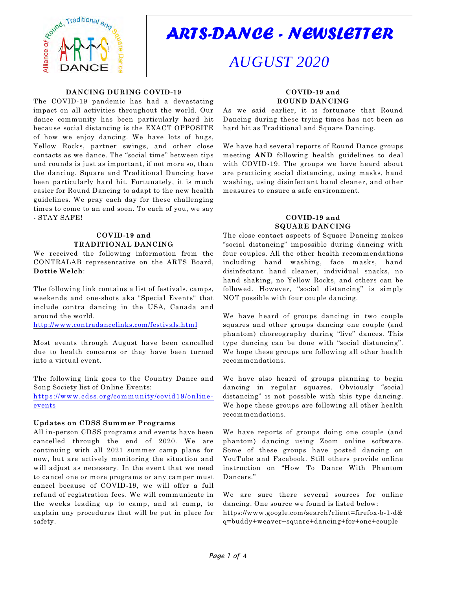

# *ARTS-DANCE - NEWSLETTER*

# *AUGUST 2020*

#### **DANCING DURING COVID-19**

The COVID-19 pandemic has had a devastating impact on all activities throughout the world. Our dance community has been particularly hard hit because social distancing is the EXACT OPPOSITE of how we enjoy dancing. We have lots of hugs, Yellow Rocks, partner swings, and other close contacts as we dance. The "social time" between tips and rounds is just as important, if not more so, than the dancing. Square and Traditional Dancing have been particularly hard hit. Fortunately, it is much easier for Round Dancing to adapt to the new health guidelines. We pray each day for these challenging times to come to an end soon. To each of you, we say - STAY SAFE!

#### **COVID-19 and TRADITIONAL DANCING**

We received the following information from the CONTRALAB representative on the ARTS Board, **Dottie Welch**:

The following link contains a list of festivals, camps, weekends and one-shots aka "Special Events" that include contra dancing in the USA, Canada and around the world.

<http://www.contradancelinks.com/festivals.html>

Most events through August have been cancelled due to health concerns or they have been turned into a virtual event.

The following link goes to the Country Dance and Song Society list of Online Events:

[https://www.cdss.org/community/covid19/online](https://www.cdss.org/community/covid19/online-events)[events](https://www.cdss.org/community/covid19/online-events)

#### **Updates on CDSS Summer Programs**

All in-person CDSS programs and events have been cancelled through the end of 2020. We are continuing with all 2021 summer camp plans for now, but are actively monitoring the situation and will adjust as necessary. In the event that we need to cancel one or more programs or any camper must cancel because of COVID-19, we will offer a full refund of registration fees. We will communicate in the weeks leading up to camp, and at camp, to explain any procedures that will be put in place for safety.

## **COVID-19 and ROUND DANCING**

As we said earlier, it is fortunate that Round Dancing during these trying times has not been as hard hit as Traditional and Square Dancing.

We have had several reports of Round Dance groups meeting **AND** following health guidelines to deal with COVID-19. The groups we have heard about are practicing social distancing, using masks, hand washing, using disinfectant hand cleaner, and other measures to ensure a safe environment.

#### **COVID-19 and SQUARE DANCING**

The close contact aspects of Square Dancing makes "social distancing" impossible during dancing with four couples. All the other health recommendations including hand washing, face masks, hand disinfectant hand cleaner, individual snacks, no hand shaking, no Yellow Rocks, and others can be followed. However, "social distancing" is simply NOT possible with four couple dancing.

We have heard of groups dancing in two couple squares and other groups dancing one couple (and phantom) choreography during "live" dances. This type dancing can be done with "social distancing". We hope these groups are following all other health recommendations.

We have also heard of groups planning to begin dancing in regular squares. Obviously "social distancing" is not possible with this type dancing. We hope these groups are following all other health recommendations.

We have reports of groups doing one couple (and phantom) dancing using Zoom online software. Some of these groups have posted dancing on YouTube and Facebook. Still others provide online instruction on "How To Dance With Phantom Dancers."

We are sure there several sources for online dancing. One source we found is listed below: https://www.google.com/search?client=firefox-b-1-d& q=buddy+weaver+square+dancing+for+one+couple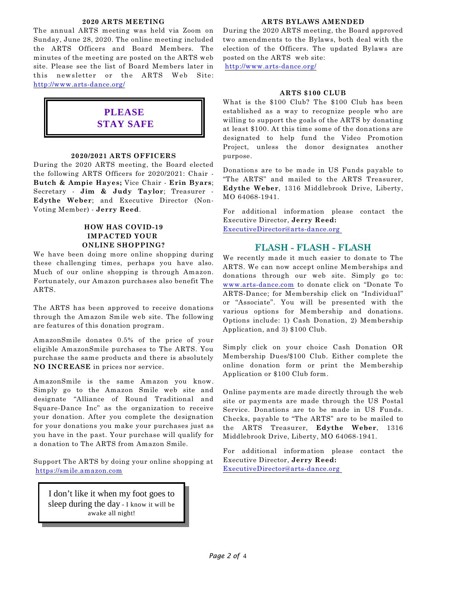#### **2020 ARTS MEETING**

The annual ARTS meeting was held via Zoom on Sunday, June 28, 2020. The online meeting included the ARTS Officers and Board Members. The minutes of the meeting are posted on the ARTS web site. Please see the list of Board Members later in this newsletter or the ARTS Web Site: <http://www.arts-dance.org/>

# **PLEASE STAY SAFE**

#### **2020/2021 ARTS OFFICERS**

During the 2020 ARTS meeting, the Board elected the following ARTS Officers for 2020/2021: Chair - **Butch & Ampie Hayes;** Vice Chair - **Erin Byars**; Secretary - **Jim & Judy Taylor**; Treasurer - **Edythe Weber**; and Executive Director (Non-Voting Member) - **Jerry Reed**.

#### **HOW HAS COVID-19 IMPACTED YOUR ONLINE SHOPPING?**

We have been doing more online shopping during these challenging times, perhaps you have also. Much of our online shopping is through Amazon. Fortunately, our Amazon purchases also benefit The ARTS.

The ARTS has been approved to receive donations through the Amazon Smile web site. The following are features of this donation program.

AmazonSmile donates 0.5% of the price of your eligible AmazonSmile purchases to The ARTS. You purchase the same products and there is absolutely **NO INCREASE** in prices nor service.

AmazonSmile is the same Amazon you know. Simply go to the Amazon Smile web site and designate "Alliance of Round Traditional and Square-Dance Inc" as the organization to receive your donation. After you complete the designation for your donations you make your purchases just as you have in the past. Your purchase will qualify for a donation to The ARTS from Amazon Smile.

Support The ARTS by doing your online shopping at <https://smile.amazon.com>

I don't like it when my foot goes to sleep during the day - I know it will be awake all night!

#### **ARTS BYLAWS AMENDED**

During the 2020 ARTS meeting, the Board approved two amendments to the Bylaws, both deal with the election of the Officers. The updated Bylaws are posted on the ARTS web site:

<http://www.arts-dance.org/>

#### **ARTS \$100 CLUB**

What is the \$100 Club? The \$100 Club has been established as a way to recognize people who are willing to support the goals of the ARTS by donating at least \$100. At this time some of the donations are designated to help fund the Video Promotion Project, unless the donor designates another purpose.

Donations are to be made in US Funds payable to "The ARTS" and mailed to the ARTS Treasurer, **Edythe Weber**, 1316 Middlebrook Drive, Liberty, MO 64068-1941.

For additional information please contact the Executive Director, **Jerry Reed:** [ExecutiveDirector@arts-dance.org](mailto:at:ExecutiveDirector@arts-dance.org) 

### **FLASH - FLASH - FLASH**

We recently made it much easier to donate to The ARTS. We can now accept online Memberships and donations through our web site. Simply go to: [www.arts-dance.com](http://www.arts-dance.com) to donate click on "Donate To ARTS-Dance; for Membership click on "Individual" or "Associate". You will be presented with the various options for Membership and donations. Options include: 1) Cash Donation, 2) Membership Application, and 3) \$100 Club.

Simply click on your choice Cash Donation OR Membership Dues/\$100 Club. Either complete the online donation form or print the Membership Application or \$100 Club form.

Online payments are made directly through the web site or payments are made through the US Postal Service. Donations are to be made in US Funds. Checks, payable to "The ARTS" are to be mailed to the ARTS Treasurer, **Edythe Weber**, 1316 Middlebrook Drive, Liberty, MO 64068-1941.

For additional information please contact the Executive Director, **Jerry Reed:** [ExecutiveDirector@arts-dance.org](mailto:at:ExecutiveDirector@arts-dance.org)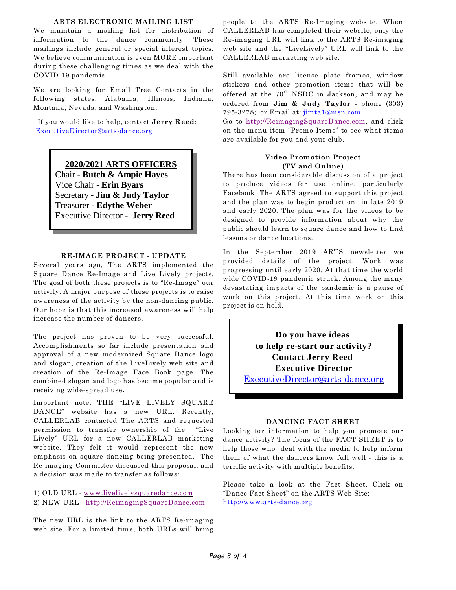#### **ARTS ELECTRONIC MAILING LIST**

We maintain a mailing list for distribution of information to the dance community. These mailings include general or special interest topics. We believe communication is even MORE important during these challenging times as we deal with the COVID-19 pandemic.

We are looking for Email Tree Contacts in the following states: Alabama, Illinois, Indiana, Montana, Nevada, and Washington.

 If you would like to help, contact **Jerry Reed**: [ExecutiveDirector@arts-dance.org](mailto:ExecutiveDirector@arts-dance.org)

> **2020/2021 ARTS OFFICERS** Chair - **Butch & Ampie Hayes**

Vice Chair - **Erin Byars**

Secretary - **Jim & Judy Taylor** Treasurer - **Edythe Weber**

Executive Director - **Jerry Reed**

## **RE-IMAGE PROJECT - UPDATE**

Several years ago, The ARTS implemented the Square Dance Re-Image and Live Lively projects. The goal of both these projects is to "Re-Image" our activity. A major purpose of these projects is to raise awareness of the activity by the non-dancing public. Our hope is that this increased awareness will help increase the number of dancers.

The project has proven to be very successful. Accomplishments so far include presentation and approval of a new modernized Square Dance logo and slogan, creation of the LiveLively web site and creation of the Re-Image Face Book page. The combined slogan and logo has become popular and is receiving wide-spread use*.*

Important note: THE "LIVE LIVELY SQUARE DANCE" website has a new URL. Recently, CALLERLAB contacted The ARTS and requested permission to transfer ownership of the "Live Lively" URL for a new CALLERLAB marketing website. They felt it would represent the new emphasis on square dancing being presented. The Re-imaging Committee discussed this proposal, and a decision was made to transfer as follows:

1) OLD URL - [www.livelivelysquaredance.com](http://www.livelivelysquaredance.com/) 2) NEW URL - [http://ReimagingSquareDance.com](http://reimagingsquaredance.com/)

The new URL is the link to the ARTS Re-imaging web site. For a limited time, both URLs will bring

people to the ARTS Re-Imaging website. When CALLERLAB has completed their website, only the Re-imaging URL will link to the ARTS Re-imaging web site and the "LiveLively" URL will link to the CALLERLAB marketing web site.

Still available are license plate frames, window stickers and other promotion items that will be offered at the  $70^{th}$  NSDC in Jackson, and may be ordered from **Jim & Judy Taylor** - phone (303) 795-3278; or Email at: [jimta1@msn.com](mailto:jimta1@msn.com)

Go to [http://ReimagingSquareDance.com](http://reimagingsquaredance.com/), and click on the menu item "Promo Items" to see what items are available for you and your club.

#### **Video Promotion Project (TV and Online)**

There has been considerable discussion of a project to produce videos for use online, particularly Facebook. The ARTS agreed to support this project and the plan was to begin production in late 2019 and early 2020. The plan was for the videos to be designed to provide information about why the public should learn to square dance and how to find lessons or dance locations.

In the September 2019 ARTS newsletter we provided details of the project. Work was progressing until early 2020. At that time the world wide COVID-19 pandemic struck. Among the many devastating impacts of the pandemic is a pause of work on this project, At this time work on this project is on hold.

> **Do you have ideas to help re-start our activity? Contact Jerry Reed Executive Director**

[ExecutiveDirector@arts-dance.org](mailto:ExecutiveDirector@arts-dance.org)

#### **DANCING FACT SHEET**

Looking for information to help you promote our dance activity? The focus of the FACT SHEET is to help those who deal with the media to help inform them of what the dancers know full well - this is a terrific activity with multiple benefits.

Please take a look at the Fact Sheet. Click on "Dance Fact Sheet" on the ARTS Web Site: [http://www.arts-dance.org](http://www.arts-dance.org/)